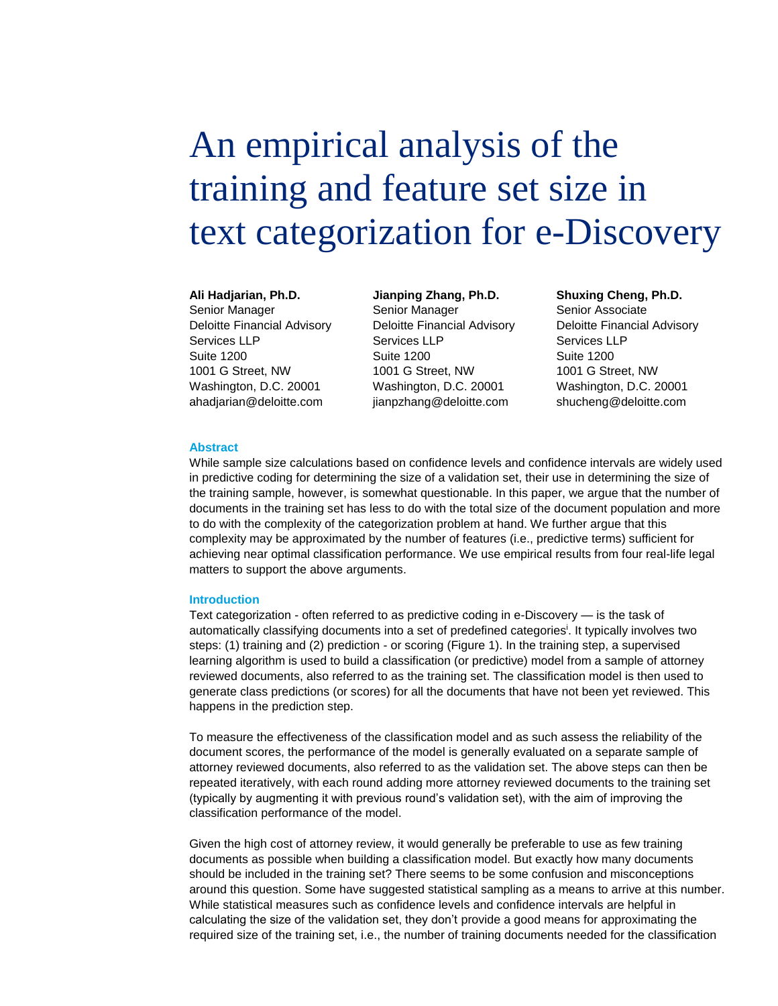# An empirical analysis of the training and feature set size in text categorization for e-Discovery

#### **Ali Hadjarian, Ph.D.**

Senior Manager Deloitte Financial Advisory Services LLP Suite 1200 1001 G Street, NW Washington, D.C. 20001 ahadjarian@deloitte.com

**Jianping Zhang, Ph.D.**  Senior Manager Deloitte Financial Advisory Services LLP Suite 1200 1001 G Street, NW Washington, D.C. 20001 jianpzhang@deloitte.com

# **Shuxing Cheng, Ph.D.**

Senior Associate Deloitte Financial Advisory Services LLP Suite 1200 1001 G Street, NW Washington, D.C. 20001 shucheng@deloitte.com

# **Abstract**

While sample size calculations based on confidence levels and confidence intervals are widely used in predictive coding for determining the size of a validation set, their use in determining the size of the training sample, however, is somewhat questionable. In this paper, we argue that the number of documents in the training set has less to do with the total size of the document population and more to do with the complexity of the categorization problem at hand. We further argue that this complexity may be approximated by the number of features (i.e., predictive terms) sufficient for achieving near optimal classification performance. We use empirical results from four real-life legal matters to support the above arguments.

#### **Introduction**

Text categorization - often referred to as predictive coding in e-Discovery — is the task of automatically classifying documents into a set of predefined categories<sup>i</sup> . It typically involves two steps: (1) training and (2) prediction - or scoring (Figure 1). In the training step, a supervised learning algorithm is used to build a classification (or predictive) model from a sample of attorney reviewed documents, also referred to as the training set. The classification model is then used to generate class predictions (or scores) for all the documents that have not been yet reviewed. This happens in the prediction step.

To measure the effectiveness of the classification model and as such assess the reliability of the document scores, the performance of the model is generally evaluated on a separate sample of attorney reviewed documents, also referred to as the validation set. The above steps can then be repeated iteratively, with each round adding more attorney reviewed documents to the training set (typically by augmenting it with previous round's validation set), with the aim of improving the classification performance of the model.

Given the high cost of attorney review, it would generally be preferable to use as few training documents as possible when building a classification model. But exactly how many documents should be included in the training set? There seems to be some confusion and misconceptions around this question. Some have suggested statistical sampling as a means to arrive at this number. While statistical measures such as confidence levels and confidence intervals are helpful in calculating the size of the validation set, they don't provide a good means for approximating the required size of the training set, i.e., the number of training documents needed for the classification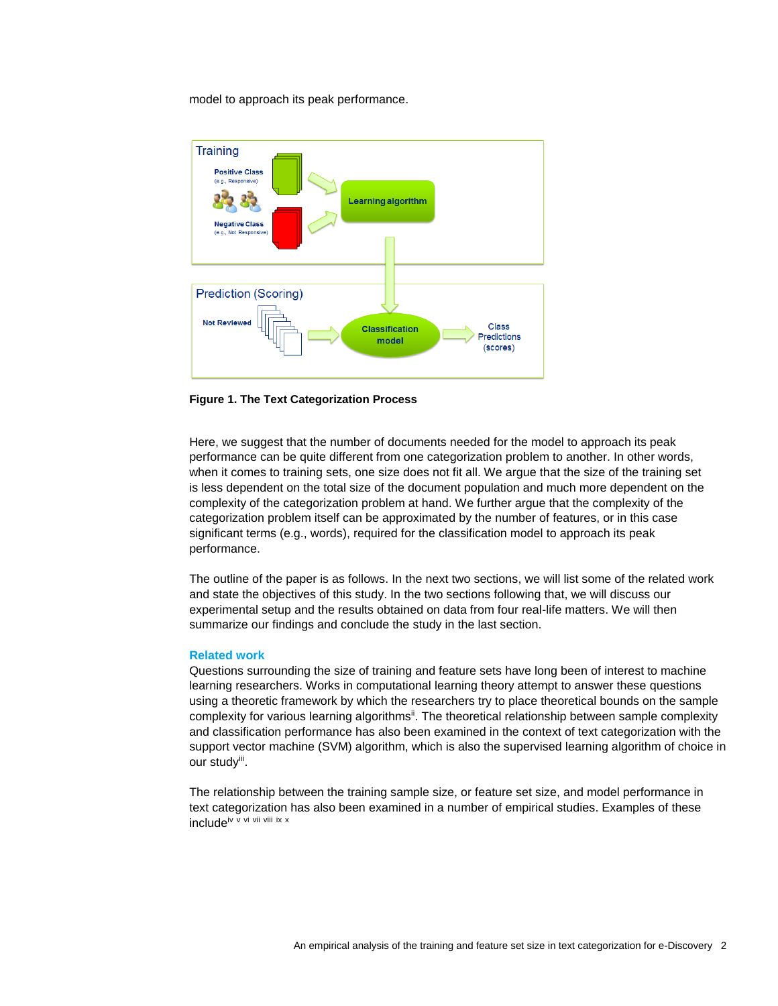model to approach its peak performance.



**Figure 1. The Text Categorization Process**

Here, we suggest that the number of documents needed for the model to approach its peak performance can be quite different from one categorization problem to another. In other words, when it comes to training sets, one size does not fit all. We argue that the size of the training set is less dependent on the total size of the document population and much more dependent on the complexity of the categorization problem at hand. We further argue that the complexity of the categorization problem itself can be approximated by the number of features, or in this case significant terms (e.g., words), required for the classification model to approach its peak performance.

The outline of the paper is as follows. In the next two sections, we will list some of the related work and state the objectives of this study. In the two sections following that, we will discuss our experimental setup and the results obtained on data from four real-life matters. We will then summarize our findings and conclude the study in the last section.

# **Related work**

Questions surrounding the size of training and feature sets have long been of interest to machine learning researchers. Works in computational learning theory attempt to answer these questions using a theoretic framework by which the researchers try to place theoretical bounds on the sample complexity for various learning algorithms<sup>ii</sup>. The theoretical relationship between sample complexity and classification performance has also been examined in the context of text categorization with the support vector machine (SVM) algorithm, which is also the supervised learning algorithm of choice in our study<sup>iii</sup>.

The relationship between the training sample size, or feature set size, and model performance in text categorization has also been examined in a number of empirical studies. Examples of these includeiv <sup>v</sup> vi vii viii ix <sup>x</sup>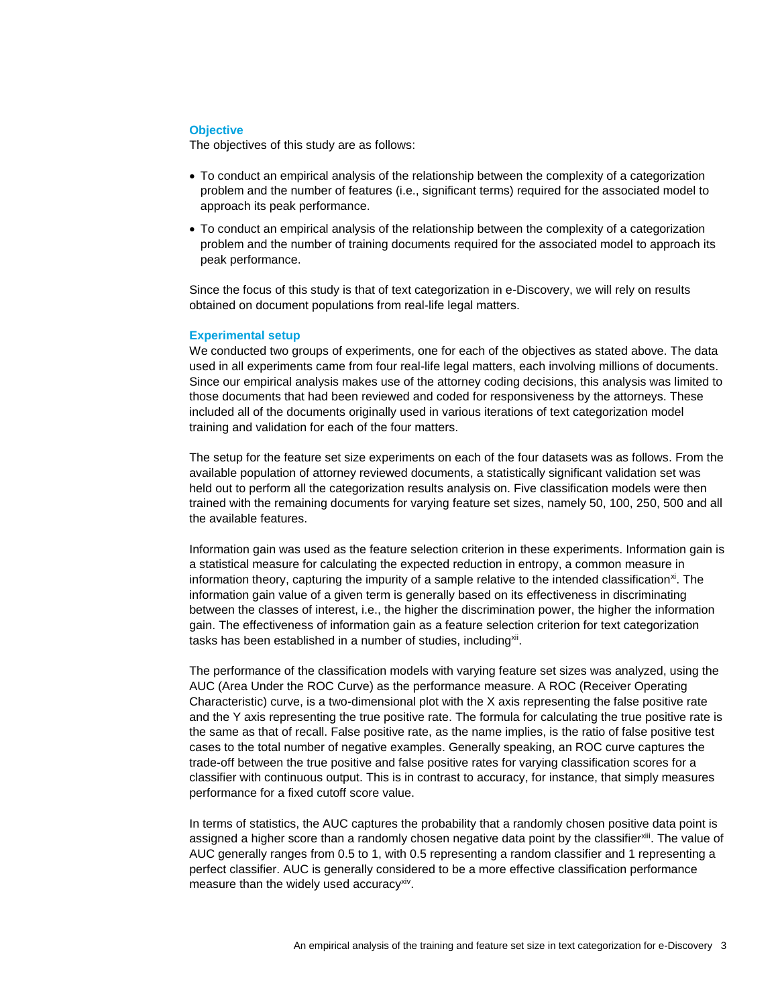#### **Objective**

The objectives of this study are as follows:

- To conduct an empirical analysis of the relationship between the complexity of a categorization problem and the number of features (i.e., significant terms) required for the associated model to approach its peak performance.
- To conduct an empirical analysis of the relationship between the complexity of a categorization problem and the number of training documents required for the associated model to approach its peak performance.

Since the focus of this study is that of text categorization in e-Discovery, we will rely on results obtained on document populations from real-life legal matters.

#### **Experimental setup**

We conducted two groups of experiments, one for each of the objectives as stated above. The data used in all experiments came from four real-life legal matters, each involving millions of documents. Since our empirical analysis makes use of the attorney coding decisions, this analysis was limited to those documents that had been reviewed and coded for responsiveness by the attorneys. These included all of the documents originally used in various iterations of text categorization model training and validation for each of the four matters.

The setup for the feature set size experiments on each of the four datasets was as follows. From the available population of attorney reviewed documents, a statistically significant validation set was held out to perform all the categorization results analysis on. Five classification models were then trained with the remaining documents for varying feature set sizes, namely 50, 100, 250, 500 and all the available features.

Information gain was used as the feature selection criterion in these experiments. Information gain is a statistical measure for calculating the expected reduction in entropy, a common measure in information theory, capturing the impurity of a sample relative to the intended classification<sup>xi</sup>. The information gain value of a given term is generally based on its effectiveness in discriminating between the classes of interest, i.e., the higher the discrimination power, the higher the information gain. The effectiveness of information gain as a feature selection criterion for text categorization tasks has been established in a number of studies, including<sup>xii</sup>.

The performance of the classification models with varying feature set sizes was analyzed, using the AUC (Area Under the ROC Curve) as the performance measure. A ROC (Receiver Operating Characteristic) curve, is a two-dimensional plot with the X axis representing the false positive rate and the Y axis representing the true positive rate. The formula for calculating the true positive rate is the same as that of recall. False positive rate, as the name implies, is the ratio of false positive test cases to the total number of negative examples. Generally speaking, an ROC curve captures the trade-off between the true positive and false positive rates for varying classification scores for a classifier with continuous output. This is in contrast to accuracy, for instance, that simply measures performance for a fixed cutoff score value.

In terms of statistics, the AUC captures the probability that a randomly chosen positive data point is assigned a higher score than a randomly chosen negative data point by the classifier<sup>xiii</sup>. The value of AUC generally ranges from 0.5 to 1, with 0.5 representing a random classifier and 1 representing a perfect classifier. AUC is generally considered to be a more effective classification performance measure than the widely used accuracy<sup>xiv</sup>.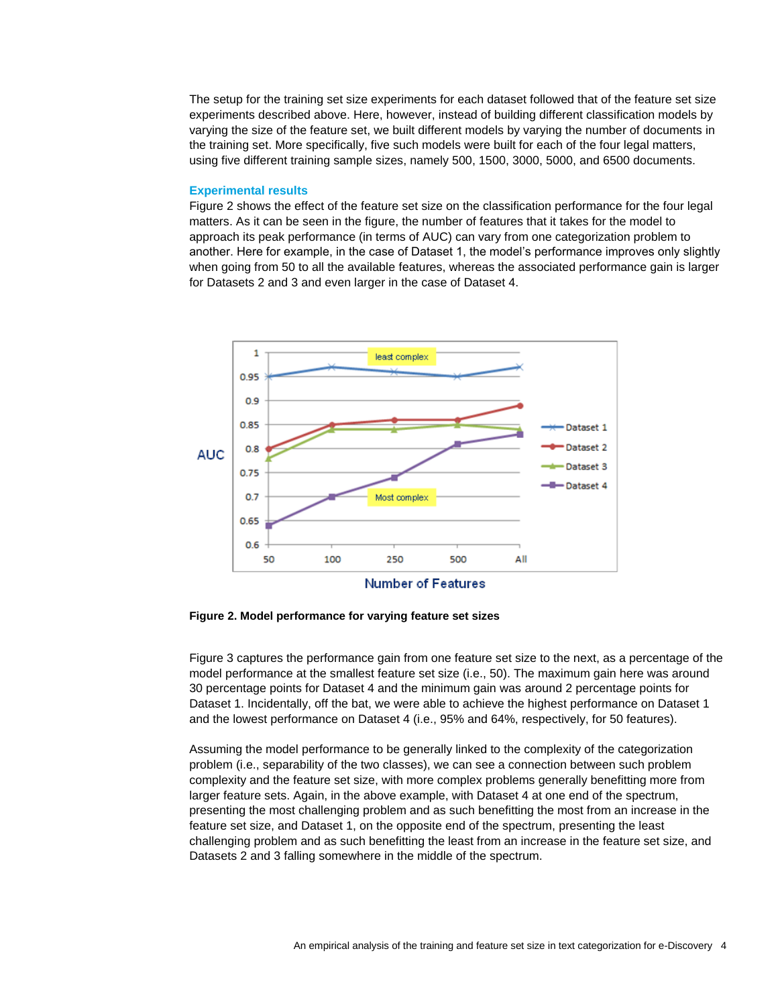The setup for the training set size experiments for each dataset followed that of the feature set size experiments described above. Here, however, instead of building different classification models by varying the size of the feature set, we built different models by varying the number of documents in the training set. More specifically, five such models were built for each of the four legal matters, using five different training sample sizes, namely 500, 1500, 3000, 5000, and 6500 documents.

#### **Experimental results**

Figure 2 shows the effect of the feature set size on the classification performance for the four legal matters. As it can be seen in the figure, the number of features that it takes for the model to approach its peak performance (in terms of AUC) can vary from one categorization problem to another. Here for example, in the case of Dataset 1, the model's performance improves only slightly when going from 50 to all the available features, whereas the associated performance gain is larger for Datasets 2 and 3 and even larger in the case of Dataset 4.



**Figure 2. Model performance for varying feature set sizes**

Figure 3 captures the performance gain from one feature set size to the next, as a percentage of the model performance at the smallest feature set size (i.e., 50). The maximum gain here was around 30 percentage points for Dataset 4 and the minimum gain was around 2 percentage points for Dataset 1. Incidentally, off the bat, we were able to achieve the highest performance on Dataset 1 and the lowest performance on Dataset 4 (i.e., 95% and 64%, respectively, for 50 features).

Assuming the model performance to be generally linked to the complexity of the categorization problem (i.e., separability of the two classes), we can see a connection between such problem complexity and the feature set size, with more complex problems generally benefitting more from larger feature sets. Again, in the above example, with Dataset 4 at one end of the spectrum, presenting the most challenging problem and as such benefitting the most from an increase in the feature set size, and Dataset 1, on the opposite end of the spectrum, presenting the least challenging problem and as such benefitting the least from an increase in the feature set size, and Datasets 2 and 3 falling somewhere in the middle of the spectrum.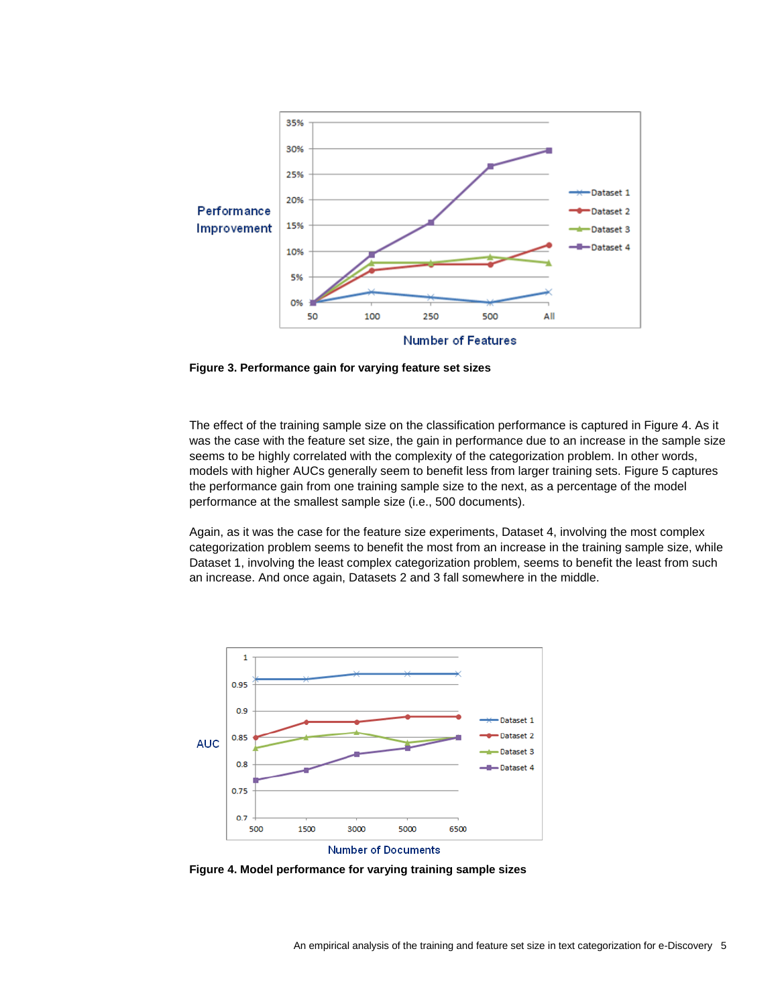

**Figure 3. Performance gain for varying feature set sizes**

The effect of the training sample size on the classification performance is captured in Figure 4. As it was the case with the feature set size, the gain in performance due to an increase in the sample size seems to be highly correlated with the complexity of the categorization problem. In other words, models with higher AUCs generally seem to benefit less from larger training sets. Figure 5 captures the performance gain from one training sample size to the next, as a percentage of the model performance at the smallest sample size (i.e., 500 documents).

Again, as it was the case for the feature size experiments, Dataset 4, involving the most complex categorization problem seems to benefit the most from an increase in the training sample size, while Dataset 1, involving the least complex categorization problem, seems to benefit the least from such an increase. And once again, Datasets 2 and 3 fall somewhere in the middle.



**Figure 4. Model performance for varying training sample sizes**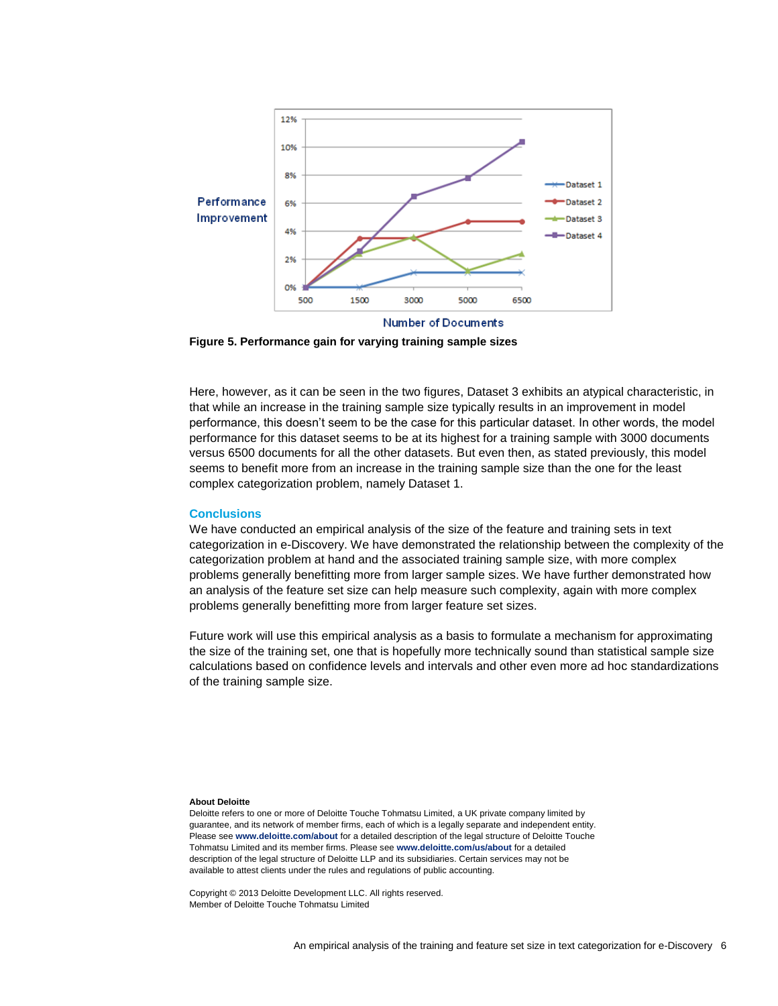

**Figure 5. Performance gain for varying training sample sizes**

Here, however, as it can be seen in the two figures, Dataset 3 exhibits an atypical characteristic, in that while an increase in the training sample size typically results in an improvement in model performance, this doesn't seem to be the case for this particular dataset. In other words, the model performance for this dataset seems to be at its highest for a training sample with 3000 documents versus 6500 documents for all the other datasets. But even then, as stated previously, this model seems to benefit more from an increase in the training sample size than the one for the least complex categorization problem, namely Dataset 1.

# **Conclusions**

We have conducted an empirical analysis of the size of the feature and training sets in text categorization in e-Discovery. We have demonstrated the relationship between the complexity of the categorization problem at hand and the associated training sample size, with more complex problems generally benefitting more from larger sample sizes. We have further demonstrated how an analysis of the feature set size can help measure such complexity, again with more complex problems generally benefitting more from larger feature set sizes.

Future work will use this empirical analysis as a basis to formulate a mechanism for approximating the size of the training set, one that is hopefully more technically sound than statistical sample size calculations based on confidence levels and intervals and other even more ad hoc standardizations of the training sample size.

#### **About Deloitte**

Deloitte refers to one or more of Deloitte Touche Tohmatsu Limited, a UK private company limited by guarantee, and its network of member firms, each of which is a legally separate and independent entity. Please see **[www.deloitte.com/about](http://www.deloitte.com/about)** for a detailed description of the legal structure of Deloitte Touche Tohmatsu Limited and its member firms. Please see **[www.deloitte.com/us/about](http://www.deloitte.com/us/about)** for a detailed description of the legal structure of Deloitte LLP and its subsidiaries. Certain services may not be available to attest clients under the rules and regulations of public accounting.

Copyright © 2013 Deloitte Development LLC. All rights reserved. Member of Deloitte Touche Tohmatsu Limited